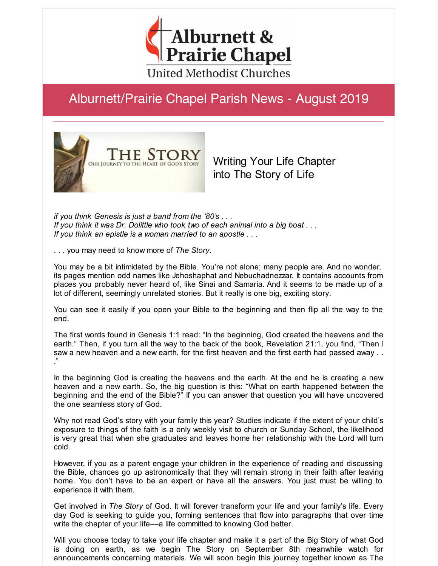

# Alburnett/Prairie Chapel Parish News - August 2019



Writing Your Life Chapter into The Story of Life

*if you think Genesis is just a band from the '80's . . . If you think it was Dr. Dolittle who took two of each animal into a big boat . . . If you think an epistle is a woman married to an apostle . . .*

. . . you may need to know more of *The Story*.

You may be a bit intimidated by the Bible. You're not alone; many people are. And no wonder, its pages mention odd names like Jehoshaphat and Nebuchadnezzar. It contains accounts from places you probably never heard of, like Sinai and Samaria. And it seems to be made up of a lot of different, seemingly unrelated stories. But it really is one big, exciting story.

You can see it easily if you open your Bible to the beginning and then flip all the way to the end.

The first words found in Genesis 1:1 read: "In the beginning, God created the heavens and the earth." Then, if you turn all the way to the back of the book, Revelation 21:1, you find, "Then I saw a new heaven and a new earth, for the first heaven and the first earth had passed away . . ."

In the beginning God is creating the heavens and the earth. At the end he is creating a new heaven and a new earth. So, the big question is this: "What on earth happened between the beginning and the end of the Bible?" If you can answer that question you will have uncovered the one seamless story of God.

Why not read God's story with your family this year? Studies indicate if the extent of your child's exposure to things of the faith is a only weekly visit to church or Sunday School, the likelihood is very great that when she graduates and leaves home her relationship with the Lord will turn cold.

However, if you as a parent engage your children in the experience of reading and discussing the Bible, chances go up astronomically that they will remain strong in their faith after leaving home. You don't have to be an expert or have all the answers. You just must be willing to experience it with them.

Get involved in *The Story* of God. It will forever transform your life and your family's life. Every day God is seeking to guide you, forming sentences that flow into paragraphs that over time write the chapter of your life—a life committed to knowing God better.

Will you choose today to take your life chapter and make it a part of the Big Story of what God is doing on earth, as we begin The Story on September 8th meanwhile watch for announcements concerning materials. We will soon begin this journey together known as The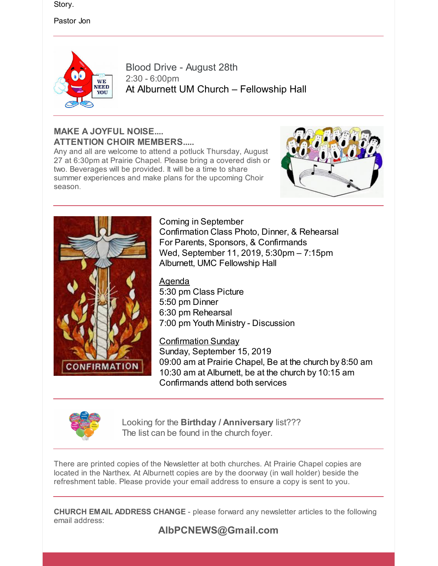Story.

Pastor Jon



Blood Drive - August 28th 2:30 - 6:00pm At Alburnett UM Church – Fellowship Hall

#### **MAKE A JOYFUL NOISE.... ATTENTION CHOIR MEMBERS.....**

Any and all are welcome to attend a potluck Thursday, August 27 at 6:30pm at Prairie Chapel. Please bring a covered dish or two. Beverages will be provided. It will be a time to share summer experiences and make plans for the upcoming Choir season.





Coming in September Confirmation Class Photo, Dinner, & Rehearsal For Parents, Sponsors, & Confirmands Wed, September 11, 2019, 5:30pm – 7:15pm Alburnett, UMC Fellowship Hall

Agenda 5:30 pm Class Picture 5:50 pm Dinner 6:30 pm Rehearsal 7:00 pm Youth Ministry - Discussion

Confirmation Sunday Sunday, September 15, 2019 09:00 am at Prairie Chapel, Be at the church by 8:50 am 10:30 am at Alburnett, be at the church by 10:15 am Confirmands attend both services



Looking for the **Birthday / Anniversary** list??? The list can be found in the church foyer.

There are printed copies of the Newsletter at both churches. At Prairie Chapel copies are located in the Narthex. At Alburnett copies are by the doorway (in wall holder) beside the refreshment table. Please provide your email address to ensure a copy is sent to you.

**CHURCH EMAIL ADDRESS CHANGE** - please forward any newsletter articles to the following email address: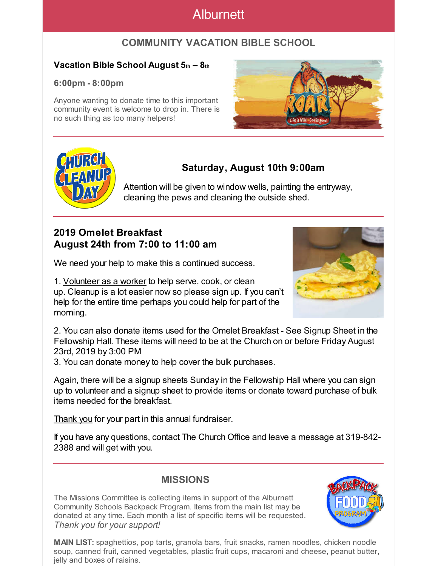## Alburnett

### **COMMUNITY VACATION BIBLE SCHOOL**

#### **Vacation Bible School August 5th – 8th**

#### **6:00pm - 8:00pm**

Anyone wanting to donate time to this important community event is welcome to drop in. There is no such thing as too many helpers!





## **Saturday, August 10th 9:00am**

Attention will be given to window wells, painting the entryway, cleaning the pews and cleaning the outside shed.

### **2019 Omelet Breakfast August 24th from 7:00 to 11:00 am**

We need your help to make this a continued success.

1. Volunteer as a worker to help serve, cook, or clean up. Cleanup is a lot easier now so please sign up. If you can't help for the entire time perhaps you could help for part of the morning.



2. You can also donate items used for the Omelet Breakfast - See Signup Sheet in the Fellowship Hall. These items will need to be at the Church on or before Friday August 23rd, 2019 by 3:00 PM

3. You can donate money to help cover the bulk purchases.

Again, there will be a signup sheets Sunday in the Fellowship Hall where you can sign up to volunteer and a signup sheet to provide items or donate toward purchase of bulk items needed for the breakfast.

Thank you for your part in this annual fundraiser.

If you have any questions, contact The Church Office and leave a message at 319-842- 2388 and will get with you.

### **MISSIONS**

The Missions Committee is collecting items in support of the Alburnett Community Schools Backpack Program. Items from the main list may be donated at any time. Each month a list of specific items will be requested. *Thank you for your support!*

**MAIN LIST:** spaghettios, pop tarts, granola bars, fruit snacks, ramen noodles, chicken noodle soup, canned fruit, canned vegetables, plastic fruit cups, macaroni and cheese, peanut butter, jelly and boxes of raisins.

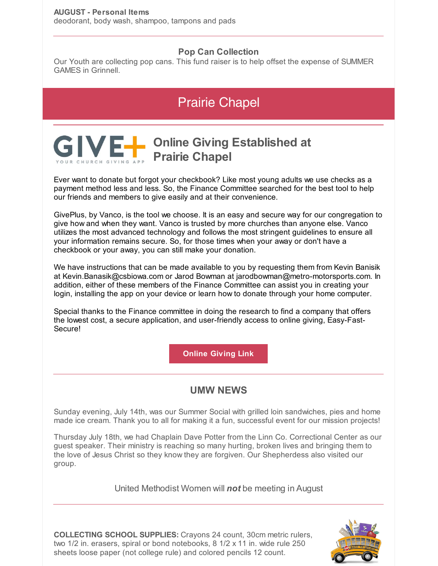#### **Pop Can Collection**

Our Youth are collecting pop cans. This fund raiser is to help offset the expense of SUMMER GAMES in Grinnell.

# Prairie Chapel

# **Online Giving Established at Prairie Chapel**

Ever want to donate but forgot your checkbook? Like most young adults we use checks as a payment method less and less. So, the Finance Committee searched for the best tool to help our friends and members to give easily and at their convenience.

GivePlus, by Vanco, is the tool we choose. It is an easy and secure way for our congregation to give how and when they want. Vanco is trusted by more churches than anyone else. Vanco utilizes the most advanced technology and follows the most stringent guidelines to ensure all your information remains secure. So, for those times when your away or don't have a checkbook or your away, you can still make your donation.

We have instructions that can be made available to you by requesting them from Kevin Banisik at Kevin.Banasik@csbiowa.com or Jarod Bowman at jarodbowman@metro-motorsports.com. In addition, either of these members of the Finance Committee can assist you in creating your login, installing the app on your device or learn how to donate through your home computer.

Special thanks to the Finance committee in doing the research to find a company that offers the lowest cost, a secure application, and user-friendly access to online giving, Easy-Fast-Secure!

**Online [Giving](https://www.eservicepayments.com/cgi-bin/Vanco_ver3.vps?appver3=wWsk24ZWJSTZKsGd1RMKlg0BDvsSG3VIWQCPJNNxD8upkiY7JlDavDsozUE7KG0nFx2NSo8LdUKGuGuF396vbUOhQPPYaq9p8gA4QCb5yoAiYnTg5dP4O6rpX5QvPEWlBhHDN59kLZFffwKfYERpQq82rfJ2bzGj_QzrwkGpzuY=&ver=3) Link**

## **UMW NEWS**

Sunday evening, July 14th, was our Summer Social with grilled loin sandwiches, pies and home made ice cream. Thank you to all for making it a fun, successful event for our mission projects!

Thursday July 18th, we had Chaplain Dave Potter from the Linn Co. Correctional Center as our guest speaker. Their ministry is reaching so many hurting, broken lives and bringing them to the love of Jesus Christ so they know they are forgiven. Our Shepherdess also visited our group.

United Methodist Women will *not* be meeting in August



**COLLECTING SCHOOL SUPPLIES:** Crayons 24 count, 30cm metric rulers, two 1/2 in. erasers, spiral or bond notebooks, 8 1/2 x 11 in. wide rule 250 sheets loose paper (not college rule) and colored pencils 12 count.